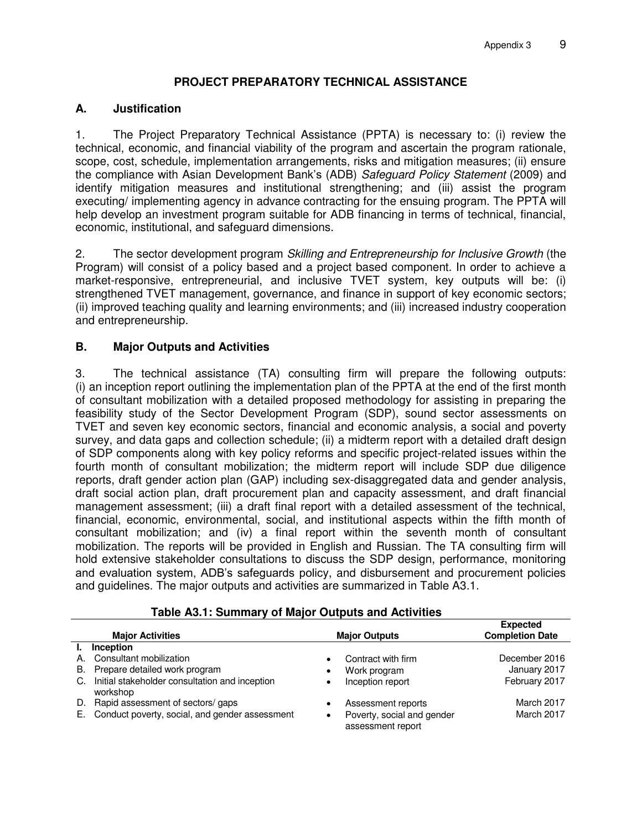# **PROJECT PREPARATORY TECHNICAL ASSISTANCE**

### **A. Justification**

1. The Project Preparatory Technical Assistance (PPTA) is necessary to: (i) review the technical, economic, and financial viability of the program and ascertain the program rationale, scope, cost, schedule, implementation arrangements, risks and mitigation measures; (ii) ensure the compliance with Asian Development Bank's (ADB) *Safeguard Policy Statement* (2009) and identify mitigation measures and institutional strengthening; and (iii) assist the program executing/ implementing agency in advance contracting for the ensuing program. The PPTA will help develop an investment program suitable for ADB financing in terms of technical, financial, economic, institutional, and safeguard dimensions.

2. The sector development program *Skilling and Entrepreneurship for Inclusive Growth* (the Program) will consist of a policy based and a project based component. In order to achieve a market-responsive, entrepreneurial, and inclusive TVET system, key outputs will be: (i) strengthened TVET management, governance, and finance in support of key economic sectors; (ii) improved teaching quality and learning environments; and (iii) increased industry cooperation and entrepreneurship.

## **B. Major Outputs and Activities**

3. The technical assistance (TA) consulting firm will prepare the following outputs: (i) an inception report outlining the implementation plan of the PPTA at the end of the first month of consultant mobilization with a detailed proposed methodology for assisting in preparing the feasibility study of the Sector Development Program (SDP), sound sector assessments on TVET and seven key economic sectors, financial and economic analysis, a social and poverty survey, and data gaps and collection schedule; (ii) a midterm report with a detailed draft design of SDP components along with key policy reforms and specific project-related issues within the fourth month of consultant mobilization; the midterm report will include SDP due diligence reports, draft gender action plan (GAP) including sex-disaggregated data and gender analysis, draft social action plan, draft procurement plan and capacity assessment, and draft financial management assessment; (iii) a draft final report with a detailed assessment of the technical, financial, economic, environmental, social, and institutional aspects within the fifth month of consultant mobilization; and (iv) a final report within the seventh month of consultant mobilization. The reports will be provided in English and Russian. The TA consulting firm will hold extensive stakeholder consultations to discuss the SDP design, performance, monitoring and evaluation system, ADB's safeguards policy, and disbursement and procurement policies and guidelines. The major outputs and activities are summarized in Table A3.1.

| <b>Major Activities</b> |                                                            | <b>Major Outputs</b> |                                                 | <b>Expected</b><br><b>Completion Date</b> |
|-------------------------|------------------------------------------------------------|----------------------|-------------------------------------------------|-------------------------------------------|
| L.                      | Inception                                                  |                      |                                                 |                                           |
| А.                      | Consultant mobilization                                    |                      | Contract with firm                              | December 2016                             |
| B.                      | Prepare detailed work program                              | ٠                    | Work program                                    | January 2017                              |
| C.                      | Initial stakeholder consultation and inception<br>workshop | ٠                    | Inception report                                | February 2017                             |
|                         | D. Rapid assessment of sectors/gaps                        |                      | Assessment reports                              | March 2017                                |
|                         | E. Conduct poverty, social, and gender assessment          |                      | Poverty, social and gender<br>assessment report | March 2017                                |

### **Table A3.1: Summary of Major Outputs and Activities**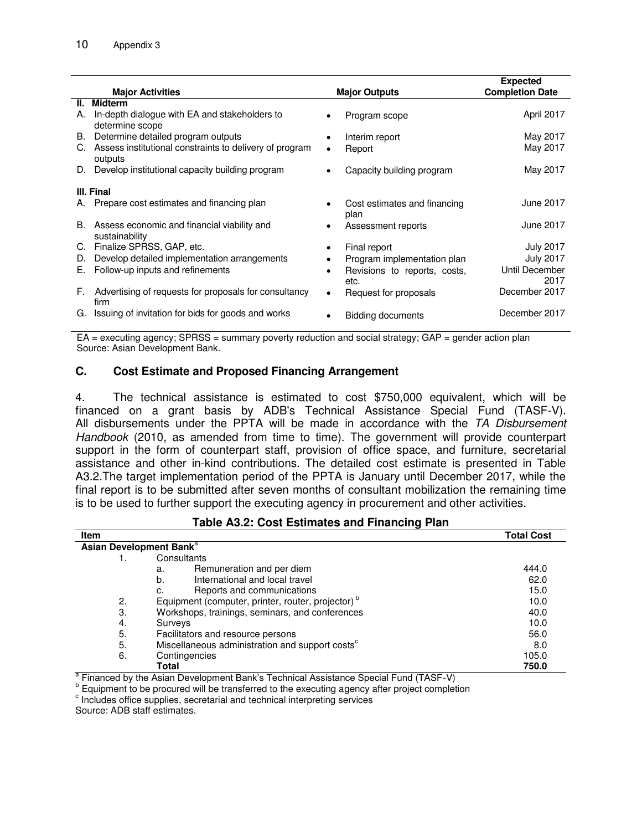|            | <b>Major Activities</b>                                               |           | <b>Major Outputs</b>                 | <b>Expected</b><br><b>Completion Date</b> |
|------------|-----------------------------------------------------------------------|-----------|--------------------------------------|-------------------------------------------|
| Ш.         | <b>Midterm</b>                                                        |           |                                      |                                           |
| А.         | In-depth dialogue with EA and stakeholders to<br>determine scope      |           | Program scope                        | April 2017                                |
|            | B. Determine detailed program outputs                                 |           | Interim report                       | May 2017                                  |
|            | C. Assess institutional constraints to delivery of program<br>outputs | $\bullet$ | Report                               | May 2017                                  |
|            | D. Develop institutional capacity building program                    |           | Capacity building program            | May 2017                                  |
| III. Final |                                                                       |           |                                      |                                           |
| А.         | Prepare cost estimates and financing plan                             |           | Cost estimates and financing<br>plan | June 2017                                 |
| В.         | Assess economic and financial viability and<br>sustainability         |           | Assessment reports                   | June 2017                                 |
| C.         | Finalize SPRSS, GAP, etc.                                             |           | Final report                         | <b>July 2017</b>                          |
| D.         | Develop detailed implementation arrangements                          |           | Program implementation plan          | <b>July 2017</b>                          |
| Е.         | Follow-up inputs and refinements                                      |           | Revisions to reports, costs,<br>etc. | Until December<br>2017                    |
| F.         | Advertising of requests for proposals for consultancy<br>firm         | $\bullet$ | Request for proposals                | December 2017                             |
| G.         | Issuing of invitation for bids for goods and works                    |           | <b>Bidding documents</b>             | December 2017                             |

 $EA =$  executing agency; SPRSS = summary poverty reduction and social strategy; GAP = gender action plan Source: Asian Development Bank.

#### **C. Cost Estimate and Proposed Financing Arrangement**

4. The technical assistance is estimated to cost \$750,000 equivalent, which will be financed on a grant basis by ADB's Technical Assistance Special Fund (TASF-V). All disbursements under the PPTA will be made in accordance with the *TA Disbursement Handbook* (2010, as amended from time to time). The government will provide counterpart support in the form of counterpart staff, provision of office space, and furniture, secretarial assistance and other in-kind contributions. The detailed cost estimate is presented in Table A3.2.The target implementation period of the PPTA is January until December 2017, while the final report is to be submitted after seven months of consultant mobilization the remaining time is to be used to further support the executing agency in procurement and other activities.

#### **Table A3.2: Cost Estimates and Financing Plan**

| Item |                                                               | <b>Total Cost</b> |  |  |  |  |
|------|---------------------------------------------------------------|-------------------|--|--|--|--|
|      | Asian Development Bank <sup>a</sup>                           |                   |  |  |  |  |
|      | Consultants                                                   |                   |  |  |  |  |
|      | Remuneration and per diem<br>a.                               | 444.0             |  |  |  |  |
|      | International and local travel<br>b.                          | 62.0              |  |  |  |  |
|      | Reports and communications<br>c.                              | 15.0              |  |  |  |  |
| 2.   | Equipment (computer, printer, router, projector) <sup>b</sup> | 10.0              |  |  |  |  |
| 3.   | Workshops, trainings, seminars, and conferences               | 40.0              |  |  |  |  |
| 4.   | Surveys                                                       | 10.0              |  |  |  |  |
| 5.   | Facilitators and resource persons                             | 56.0              |  |  |  |  |
| 5.   | Miscellaneous administration and support costs <sup>c</sup>   | 8.0               |  |  |  |  |
| 6.   | Contingencies                                                 | 105.0             |  |  |  |  |
|      | Total                                                         | 750.0             |  |  |  |  |

<sup>a</sup> Financed by the Asian Development Bank's Technical Assistance Special Fund (TASF-V)

<sup>b</sup> Equipment to be procured will be transferred to the executing agency after project completion

c Includes office supplies, secretarial and technical interpreting services

Source: ADB staff estimates.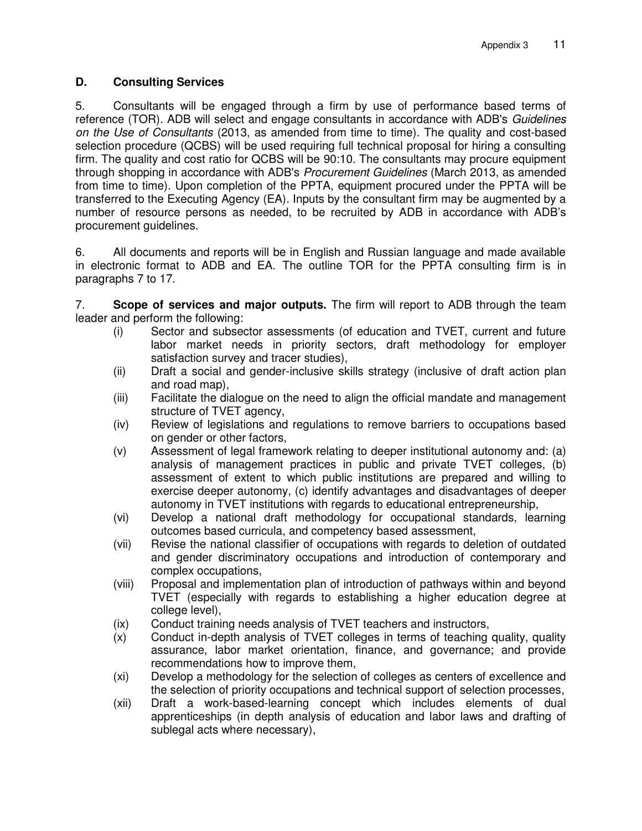# **D. Consulting Services**

5. Consultants will be engaged through a firm by use of performance based terms of reference (TOR). ADB will select and engage consultants in accordance with ADB's *Guidelines on the Use of Consultants* (2013, as amended from time to time). The quality and cost-based selection procedure (QCBS) will be used requiring full technical proposal for hiring a consulting firm. The quality and cost ratio for QCBS will be 90:10. The consultants may procure equipment through shopping in accordance with ADB's *Procurement Guidelines* (March 2013, as amended from time to time). Upon completion of the PPTA, equipment procured under the PPTA will be transferred to the Executing Agency (EA). Inputs by the consultant firm may be augmented by a number of resource persons as needed, to be recruited by ADB in accordance with ADB's procurement guidelines.

6. All documents and reports will be in English and Russian language and made available in electronic format to ADB and EA. The outline TOR for the PPTA consulting firm is in paragraphs 7 to 17.

7. **Scope of services and major outputs.** The firm will report to ADB through the team leader and perform the following:

- (i) Sector and subsector assessments (of education and TVET, current and future labor market needs in priority sectors, draft methodology for employer satisfaction survey and tracer studies),
- (ii) Draft a social and gender-inclusive skills strategy (inclusive of draft action plan and road map),
- (iii) Facilitate the dialogue on the need to align the official mandate and management structure of TVET agency,
- (iv) Review of legislations and regulations to remove barriers to occupations based on gender or other factors,
- (v) Assessment of legal framework relating to deeper institutional autonomy and: (a) analysis of management practices in public and private TVET colleges, (b) assessment of extent to which public institutions are prepared and willing to exercise deeper autonomy, (c) identify advantages and disadvantages of deeper autonomy in TVET institutions with regards to educational entrepreneurship,
- (vi) Develop a national draft methodology for occupational standards, learning outcomes based curricula, and competency based assessment,
- (vii) Revise the national classifier of occupations with regards to deletion of outdated and gender discriminatory occupations and introduction of contemporary and complex occupations,
- (viii) Proposal and implementation plan of introduction of pathways within and beyond TVET (especially with regards to establishing a higher education degree at college level),
- (ix) Conduct training needs analysis of TVET teachers and instructors,
- (x) Conduct in-depth analysis of TVET colleges in terms of teaching quality, quality assurance, labor market orientation, finance, and governance; and provide recommendations how to improve them,
- (xi) Develop a methodology for the selection of colleges as centers of excellence and the selection of priority occupations and technical support of selection processes,
- (xii) Draft a work-based-learning concept which includes elements of dual apprenticeships (in depth analysis of education and labor laws and drafting of sublegal acts where necessary),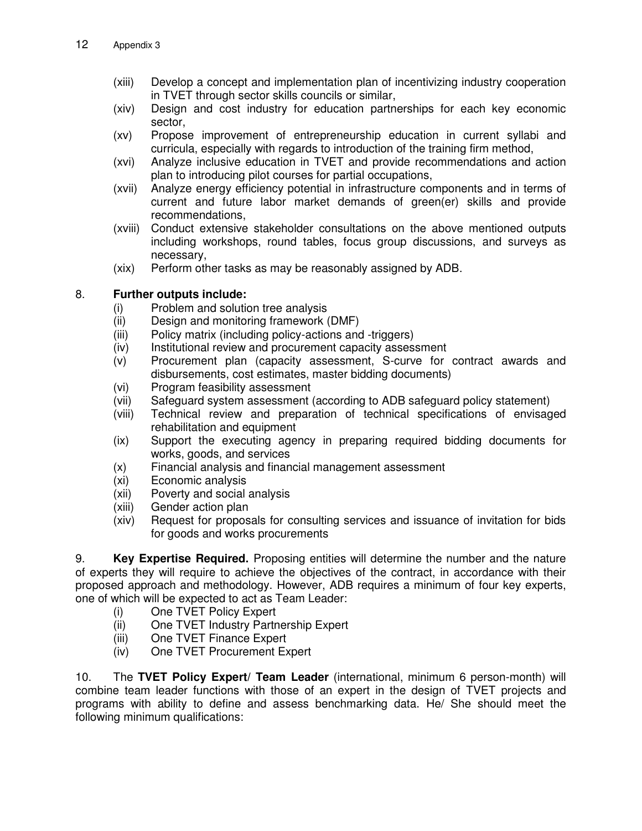- (xiii) Develop a concept and implementation plan of incentivizing industry cooperation in TVET through sector skills councils or similar,
- (xiv) Design and cost industry for education partnerships for each key economic sector,
- (xv) Propose improvement of entrepreneurship education in current syllabi and curricula, especially with regards to introduction of the training firm method,
- (xvi) Analyze inclusive education in TVET and provide recommendations and action plan to introducing pilot courses for partial occupations,
- (xvii) Analyze energy efficiency potential in infrastructure components and in terms of current and future labor market demands of green(er) skills and provide recommendations,
- (xviii) Conduct extensive stakeholder consultations on the above mentioned outputs including workshops, round tables, focus group discussions, and surveys as necessary,
- (xix) Perform other tasks as may be reasonably assigned by ADB.

## 8. **Further outputs include:**

- (i) Problem and solution tree analysis
- (ii) Design and monitoring framework (DMF)
- (iii) Policy matrix (including policy-actions and -triggers)
- (iv) Institutional review and procurement capacity assessment
- (v) Procurement plan (capacity assessment, S-curve for contract awards and disbursements, cost estimates, master bidding documents)
- (vi) Program feasibility assessment
- (vii) Safeguard system assessment (according to ADB safeguard policy statement)
- (viii) Technical review and preparation of technical specifications of envisaged rehabilitation and equipment
- (ix) Support the executing agency in preparing required bidding documents for works, goods, and services
- (x) Financial analysis and financial management assessment
- (xi) Economic analysis
- (xii) Poverty and social analysis
- (xiii) Gender action plan
- (xiv) Request for proposals for consulting services and issuance of invitation for bids for goods and works procurements

9. **Key Expertise Required.** Proposing entities will determine the number and the nature of experts they will require to achieve the objectives of the contract, in accordance with their proposed approach and methodology. However, ADB requires a minimum of four key experts, one of which will be expected to act as Team Leader:

- (i) One TVET Policy Expert
- (ii) One TVET Industry Partnership Expert
- (iii) One TVET Finance Expert
- (iv) One TVET Procurement Expert

10. The **TVET Policy Expert/ Team Leader** (international, minimum 6 person-month) will combine team leader functions with those of an expert in the design of TVET projects and programs with ability to define and assess benchmarking data. He/ She should meet the following minimum qualifications: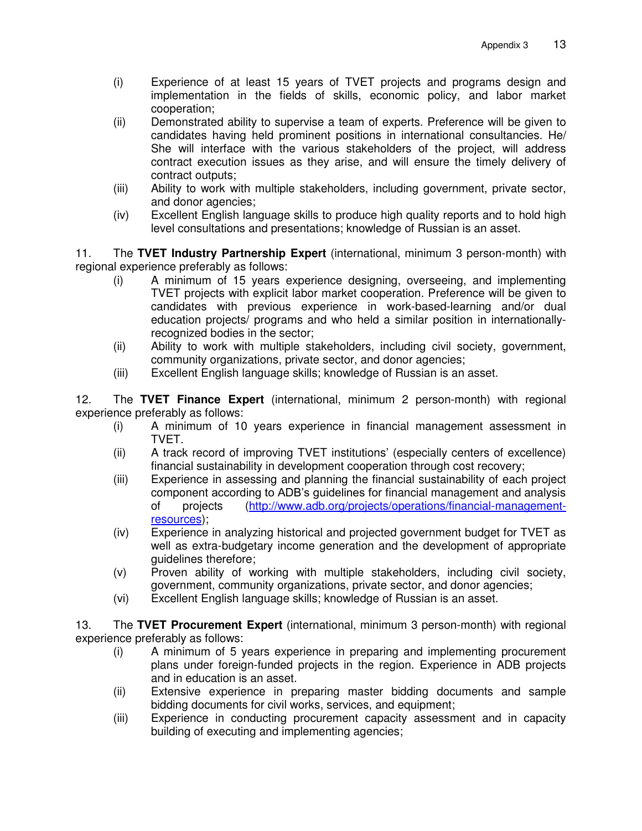- (i) Experience of at least 15 years of TVET projects and programs design and implementation in the fields of skills, economic policy, and labor market cooperation;
- (ii) Demonstrated ability to supervise a team of experts. Preference will be given to candidates having held prominent positions in international consultancies. He/ She will interface with the various stakeholders of the project, will address contract execution issues as they arise, and will ensure the timely delivery of contract outputs;
- (iii) Ability to work with multiple stakeholders, including government, private sector, and donor agencies;
- (iv) Excellent English language skills to produce high quality reports and to hold high level consultations and presentations; knowledge of Russian is an asset.

11. The **TVET Industry Partnership Expert** (international, minimum 3 person-month) with regional experience preferably as follows:

- (i) A minimum of 15 years experience designing, overseeing, and implementing TVET projects with explicit labor market cooperation. Preference will be given to candidates with previous experience in work-based-learning and/or dual education projects/ programs and who held a similar position in internationallyrecognized bodies in the sector;
- (ii) Ability to work with multiple stakeholders, including civil society, government, community organizations, private sector, and donor agencies;
- (iii) Excellent English language skills; knowledge of Russian is an asset.

12. The **TVET Finance Expert** (international, minimum 2 person-month) with regional experience preferably as follows:

- (i) A minimum of 10 years experience in financial management assessment in TVET.
- (ii) A track record of improving TVET institutions' (especially centers of excellence) financial sustainability in development cooperation through cost recovery;
- (iii) Experience in assessing and planning the financial sustainability of each project component according to ADB's guidelines for financial management and analysis of projects [\(http://www.adb.org/projects/operations/financial-management](http://www.adb.org/projects/operations/financial-management-resources)[resources\)](http://www.adb.org/projects/operations/financial-management-resources);
- (iv) Experience in analyzing historical and projected government budget for TVET as well as extra-budgetary income generation and the development of appropriate guidelines therefore;
- (v) Proven ability of working with multiple stakeholders, including civil society, government, community organizations, private sector, and donor agencies;
- (vi) Excellent English language skills; knowledge of Russian is an asset.

13. The **TVET Procurement Expert** (international, minimum 3 person-month) with regional experience preferably as follows:

- (i) A minimum of 5 years experience in preparing and implementing procurement plans under foreign-funded projects in the region. Experience in ADB projects and in education is an asset.
- (ii) Extensive experience in preparing master bidding documents and sample bidding documents for civil works, services, and equipment;
- (iii) Experience in conducting procurement capacity assessment and in capacity building of executing and implementing agencies;